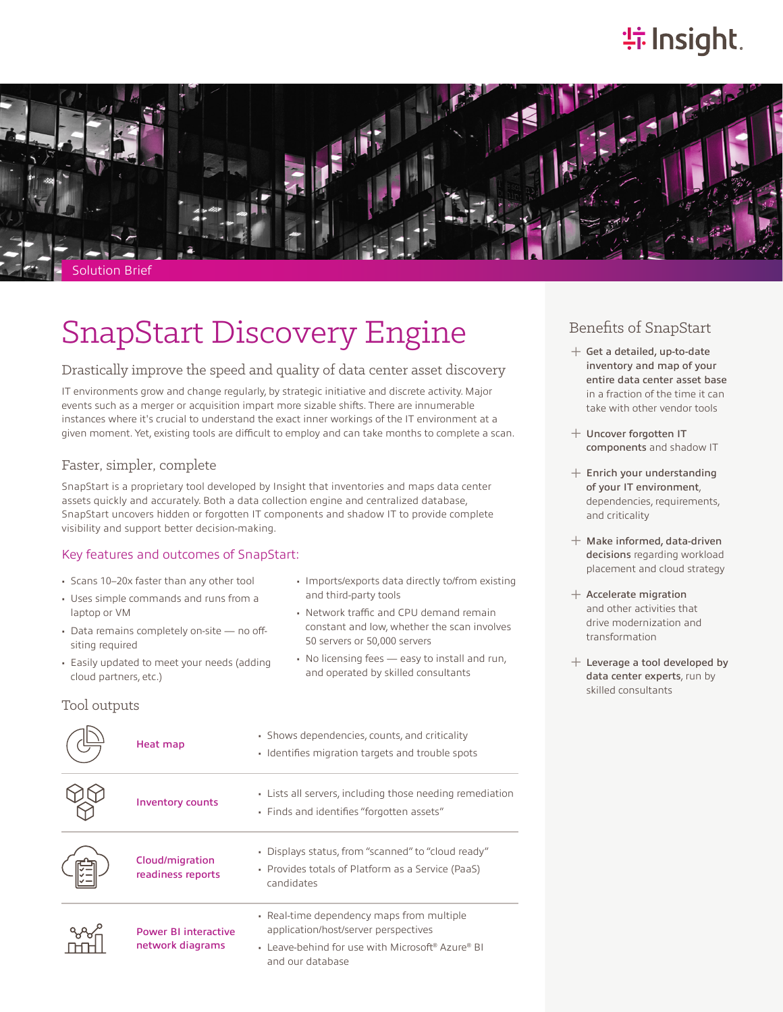# **特Insight**.



## SnapStart Discovery Engine

#### Drastically improve the speed and quality of data center asset discovery

IT environments grow and change regularly, by strategic initiative and discrete activity. Major events such as a merger or acquisition impart more sizable shifts. There are innumerable instances where it's crucial to understand the exact inner workings of the IT environment at a given moment. Yet, existing tools are difficult to employ and can take months to complete a scan.

#### Faster, simpler, complete

SnapStart is a proprietary tool developed by Insight that inventories and maps data center assets quickly and accurately. Both a data collection engine and centralized database, SnapStart uncovers hidden or forgotten IT components and shadow IT to provide complete visibility and support better decision-making.

#### Key features and outcomes of SnapStart:

- Scans 10–20x faster than any other tool
- Uses simple commands and runs from a laptop or VM
- Data remains completely on-site no offsiting required
- Easily updated to meet your needs (adding cloud partners, etc.)

#### Tool outputs

|                       | • Imports/exports data directly to/from existing |
|-----------------------|--------------------------------------------------|
| and third-party tools |                                                  |

- Network traffic and CPU demand remain constant and low, whether the scan involves 50 servers or 50,000 servers
- No licensing fees easy to install and run, and operated by skilled consultants

| Heat map                                        | • Shows dependencies, counts, and criticality<br>• Identifies migration targets and trouble spots                                                         |
|-------------------------------------------------|-----------------------------------------------------------------------------------------------------------------------------------------------------------|
| <b>Inventory counts</b>                         | • Lists all servers, including those needing remediation<br>• Finds and identifies "forgotten assets"                                                     |
| Cloud/migration<br>readiness reports            | • Displays status, from "scanned" to "cloud ready"<br>• Provides totals of Platform as a Service (PaaS)<br>candidates                                     |
| <b>Power BI interactive</b><br>network diagrams | • Real-time dependency maps from multiple<br>application/host/server perspectives<br>• Leave-behind for use with Microsoft® Azure® BI<br>and our database |

### Benefits of SnapStart

- $+$  Get a detailed, up-to-date inventory and map of your entire data center asset base in a fraction of the time it can take with other vendor tools
- ͓ Uncover forgotten IT components and shadow IT
- $+$  Enrich your understanding of your IT environment, dependencies, requirements, and criticality
- $+$  Make informed, data-driven decisions regarding workload placement and cloud strategy
- $+$  Accelerate migration and other activities that drive modernization and transformation
- $+$  Leverage a tool developed by data center experts, run by skilled consultants